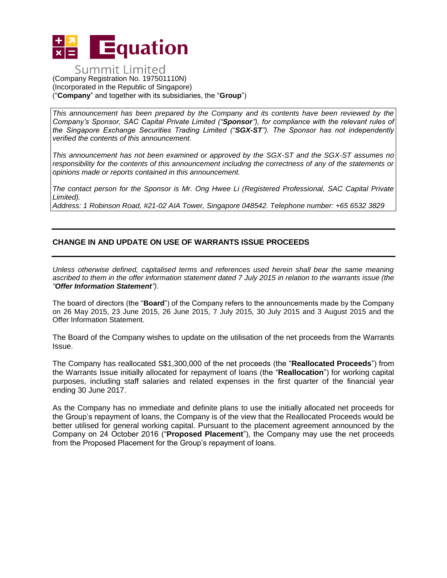

## **Summit Limited** (Company Registration No. 197501110N) (Incorporated in the Republic of Singapore) ("**Company**" and together with its subsidiaries, the "**Group**")

*This announcement has been prepared by the Company and its contents have been reviewed by the Company's Sponsor, SAC Capital Private Limited ("Sponsor"), for compliance with the relevant rules of the Singapore Exchange Securities Trading Limited ("SGX-ST"). The Sponsor has not independently verified the contents of this announcement.* 

*This announcement has not been examined or approved by the SGX-ST and the SGX-ST assumes no responsibility for the contents of this announcement including the correctness of any of the statements or opinions made or reports contained in this announcement.* 

*The contact person for the Sponsor is Mr. Ong Hwee Li (Registered Professional, SAC Capital Private Limited).*

*Address: 1 Robinson Road, #21-02 AIA Tower, Singapore 048542. Telephone number: +65 6532 3829*

## **CHANGE IN AND UPDATE ON USE OF WARRANTS ISSUE PROCEEDS**

*Unless otherwise defined, capitalised terms and references used herein shall bear the same meaning ascribed to them in the offer information statement dated 7 July 2015 in relation to the warrants issue (the "Offer Information Statement").*

The board of directors (the "**Board**") of the Company refers to the announcements made by the Company on 26 May 2015, 23 June 2015, 26 June 2015, 7 July 2015, 30 July 2015 and 3 August 2015 and the Offer Information Statement.

The Board of the Company wishes to update on the utilisation of the net proceeds from the Warrants Issue.

The Company has reallocated S\$1,300,000 of the net proceeds (the "**Reallocated Proceeds**") from the Warrants Issue initially allocated for repayment of loans (the "**Reallocation**") for working capital purposes, including staff salaries and related expenses in the first quarter of the financial year ending 30 June 2017.

As the Company has no immediate and definite plans to use the initially allocated net proceeds for the Group's repayment of loans, the Company is of the view that the Reallocated Proceeds would be better utilised for general working capital. Pursuant to the placement agreement announced by the Company on 24 October 2016 ("**Proposed Placement**"), the Company may use the net proceeds from the Proposed Placement for the Group's repayment of loans.